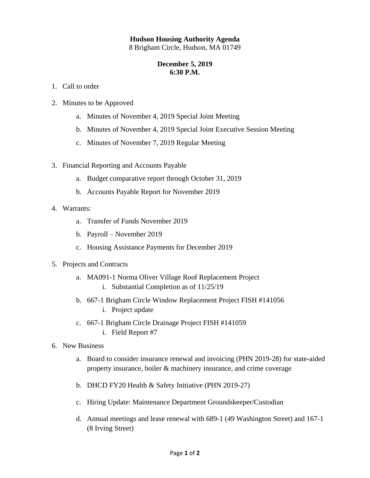## **Hudson Housing Authority Agenda**

8 Brigham Circle, Hudson, MA 01749

## **December 5, 2019 6:30 P.M.**

- 1. Call to order
- 2. Minutes to be Approved
	- a. Minutes of November 4, 2019 Special Joint Meeting
	- b. Minutes of November 4, 2019 Special Joint Executive Session Meeting
	- c. Minutes of November 7, 2019 Regular Meeting
- 3. Financial Reporting and Accounts Payable
	- a. Budget comparative report through October 31, 2019
	- b. Accounts Payable Report for November 2019
- 4. Warrants:
	- a. Transfer of Funds November 2019
	- b. Payroll November 2019
	- c. Housing Assistance Payments for December 2019
- 5. Projects and Contracts
	- a. MA091-1 Norma Oliver Village Roof Replacement Project i. Substantial Completion as of 11/25/19
	- b. 667-1 Brigham Circle Window Replacement Project FISH #141056 i. Project update
	- c. 667-1 Brigham Circle Drainage Project FISH #141059 i. Field Report #7
- 6. New Business
	- a. Board to consider insurance renewal and invoicing (PHN 2019-28) for state-aided property insurance, boiler & machinery insurance, and crime coverage
	- b. DHCD FY20 Health & Safety Initiative (PHN 2019-27)
	- c. Hiring Update: Maintenance Department Groundskeeper/Custodian
	- d. Annual meetings and lease renewal with 689-1 (49 Washington Street) and 167-1 (8 Irving Street)